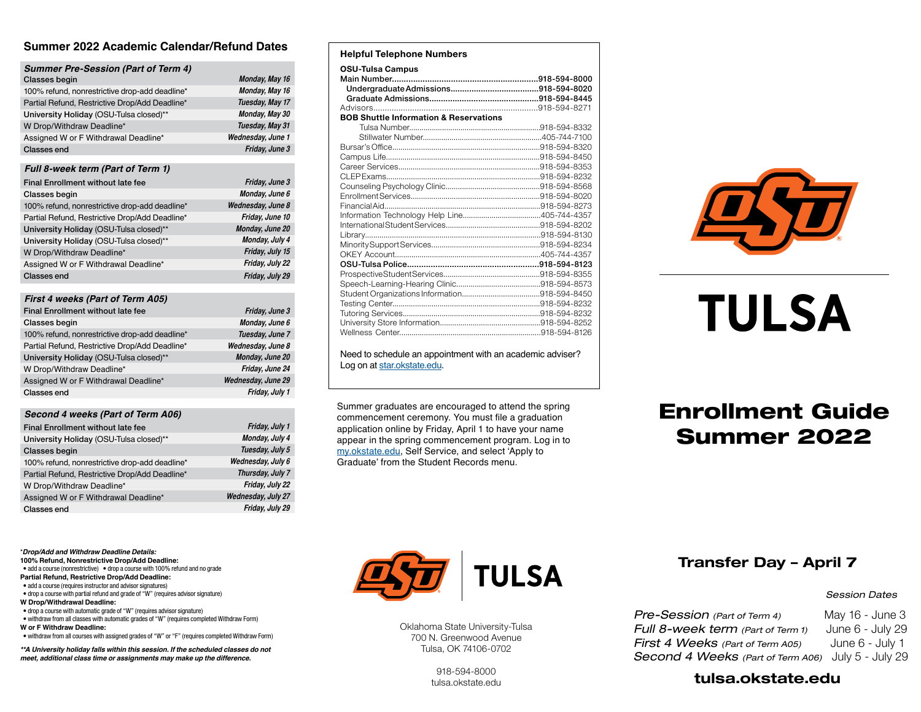### **Summer 2022 Academic Calendar/Refund Dates**

| <b>Summer Pre-Session (Part of Term 4)</b>     |                   |
|------------------------------------------------|-------------------|
| Classes begin                                  | Monday, May 16    |
| 100% refund, nonrestrictive drop-add deadline* | Monday, May 16    |
| Partial Refund, Restrictive Drop/Add Deadline* | Tuesday, May 17   |
| University Holiday (OSU-Tulsa closed)**        | Monday, May 30    |
| W Drop/Withdraw Deadline*                      | Tuesday, May 31   |
| Assigned W or F Withdrawal Deadline*           | Wednesday, June 1 |
| Classes end                                    | Friday, June 3    |
|                                                |                   |

#### *Full 8-week term (Part of Term 1)*

| Final Enrollment without late fee              | Friday, June 3    |
|------------------------------------------------|-------------------|
| <b>Classes begin</b>                           | Monday, June 6    |
| 100% refund, nonrestrictive drop-add deadline* | Wednesday, June 8 |
| Partial Refund, Restrictive Drop/Add Deadline* | Friday, June 10   |
| University Holiday (OSU-Tulsa closed)**        | Monday, June 20   |
| University Holiday (OSU-Tulsa closed)**        | Monday, July 4    |
| W Drop/Withdraw Deadline*                      | Friday, July 15   |
| Assigned W or F Withdrawal Deadline*           | Friday, July 22   |
| Classes end                                    | Friday, July 29   |

#### *First 4 weeks (Part of Term A05)*

| Final Enrollment without late fee              | Friday, June 3     |
|------------------------------------------------|--------------------|
| Classes begin                                  | Monday, June 6     |
| 100% refund, nonrestrictive drop-add deadline* | Tuesday, June 7    |
| Partial Refund, Restrictive Drop/Add Deadline* | Wednesday, June 8  |
| University Holiday (OSU-Tulsa closed)**        | Monday, June 20    |
| W Drop/Withdraw Deadline*                      | Friday, June 24    |
| Assigned W or F Withdrawal Deadline*           | Wednesday, June 29 |
| Classes end                                    | Friday, July 1     |

#### *Second 4 weeks (Part of Term A06)*

| Final Enrollment without late fee              | Friday, July 1     |
|------------------------------------------------|--------------------|
| University Holiday (OSU-Tulsa closed)**        | Monday, July 4     |
| <b>Classes begin</b>                           | Tuesday, July 5    |
| 100% refund, nonrestrictive drop-add deadline* | Wednesday, July 6  |
| Partial Refund, Restrictive Drop/Add Deadline* | Thursday, July 7   |
| W Drop/Withdraw Deadline*                      | Friday, July 22    |
| Assigned W or F Withdrawal Deadline*           | Wednesday, July 27 |
| Classes end                                    | Friday, July 29    |

\**Drop/Add and Withdraw Deadline Details:*

**100% Refund, Nonrestrictive Drop/Add Deadline:** • add a course (nonrestrictive) • drop a course with 100% refund and no grade

- **Partial Refund, Restrictive Drop/Add Deadline:**
- add a course (requires instructor and advisor signatures)
- drop a course with partial refund and grade of "W" (requires advisor signature)
- **W Drop/Withdrawal Deadline:**
- drop a course with automatic grade of "W" (requires advisor signature)
- withdraw from all classes with automatic grades of "W" (requires completed Withdraw Form) **W or F Withdraw Deadline:**
- withdraw from all courses with assigned grades of "W" or "F" (requires completed Withdraw Form)

*\*\*A University holiday falls within this session. If the scheduled classes do not meet, additional class time or assignments may make up the difference.*

## **Helpful Telephone Numbers**

| <b>OSU-Tulsa Campus</b>                           |  |
|---------------------------------------------------|--|
|                                                   |  |
|                                                   |  |
|                                                   |  |
| <b>BOB Shuttle Information &amp; Reservations</b> |  |
|                                                   |  |
|                                                   |  |
|                                                   |  |
|                                                   |  |
|                                                   |  |
|                                                   |  |
|                                                   |  |
|                                                   |  |
|                                                   |  |
|                                                   |  |
|                                                   |  |
| Library                                           |  |
|                                                   |  |
|                                                   |  |
|                                                   |  |
|                                                   |  |
|                                                   |  |
|                                                   |  |
|                                                   |  |
|                                                   |  |
|                                                   |  |
|                                                   |  |

Need to schedule an appointment with an academic adviser? Log on at [star.okstate.edu.](https://star.okstate.edu)

Summer graduates are encouraged to attend the spring commencement ceremony. You must file a graduation application online by Friday, April 1 to have your name appear in the spring commencement program. Log in to [my.okstate.edu](https://my.okstate.edu), Self Service, and select 'Apply to Graduate' from the Student Records menu.



# **TULSA**

## Enrollment Guide Summer 2022



Oklahoma State University-Tulsa 700 N. Greenwood Avenue Tulsa, OK 74106-0702

> 918-594-8000 [tulsa.okstate.edu](https://tulsa.okstate.edu)

## Transfer Day – April 7

#### *Session Dates*

*Pre-Session (Part of Term 4)* May 16 - June 3 *Full 8-week term (Part of Term 1)* June 6 - July 29 *First 4 Weeks (Part of Term A05)* June 6 - July 1 *Second 4 Weeks (Part of Term A06)* July 5 - July 29

## [tulsa.okstate.edu](https://tulsa.okstate.edu)